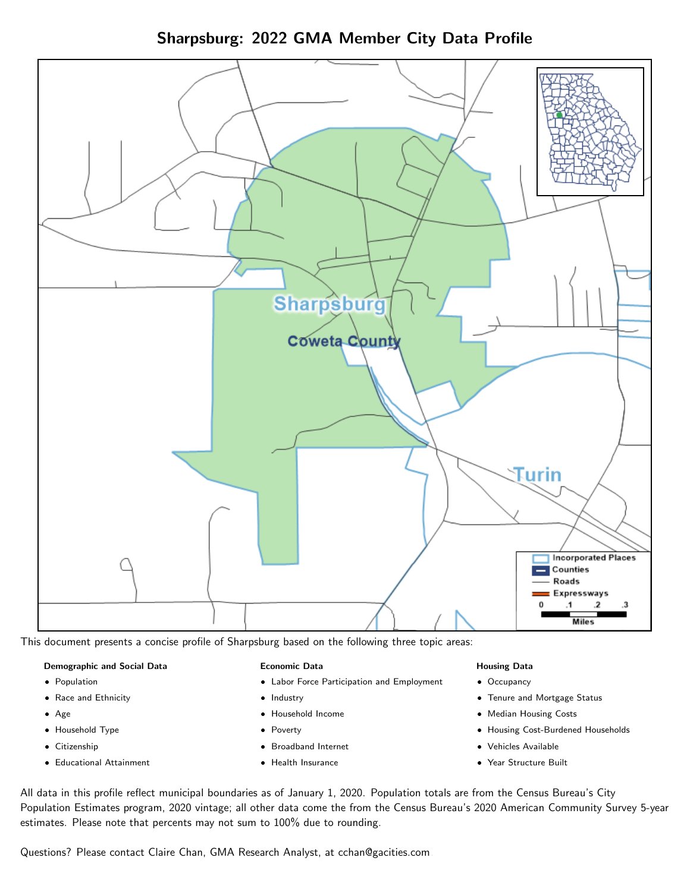Sharpsburg: 2022 GMA Member City Data Profile



This document presents a concise profile of Sharpsburg based on the following three topic areas:

### Demographic and Social Data

- **•** Population
- Race and Ethnicity
- Age
- Household Type
- **Citizenship**
- Educational Attainment

### Economic Data

- Labor Force Participation and Employment
- Industry
- Household Income
- Poverty
- Broadband Internet
- Health Insurance

### Housing Data

- Occupancy
- Tenure and Mortgage Status
- Median Housing Costs
- Housing Cost-Burdened Households
- Vehicles Available
- Year Structure Built

All data in this profile reflect municipal boundaries as of January 1, 2020. Population totals are from the Census Bureau's City Population Estimates program, 2020 vintage; all other data come the from the Census Bureau's 2020 American Community Survey 5-year estimates. Please note that percents may not sum to 100% due to rounding.

Questions? Please contact Claire Chan, GMA Research Analyst, at [cchan@gacities.com.](mailto:cchan@gacities.com)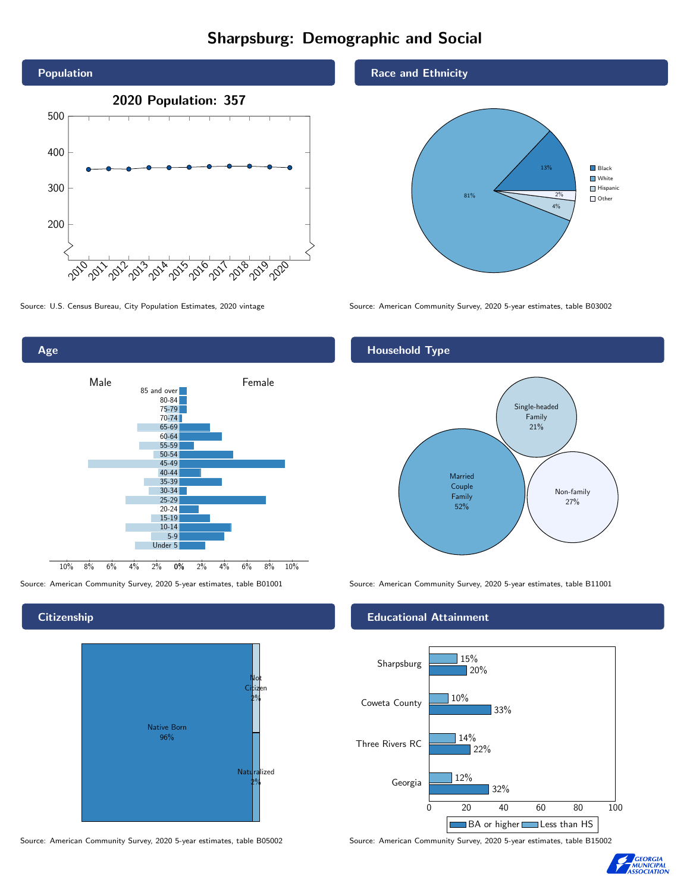# Sharpsburg: Demographic and Social





## **Citizenship**



Source: American Community Survey, 2020 5-year estimates, table B05002 Source: American Community Survey, 2020 5-year estimates, table B15002

### Race and Ethnicity



Source: U.S. Census Bureau, City Population Estimates, 2020 vintage Source: American Community Survey, 2020 5-year estimates, table B03002

## Household Type



Source: American Community Survey, 2020 5-year estimates, table B01001 Source: American Community Survey, 2020 5-year estimates, table B11001

### Educational Attainment



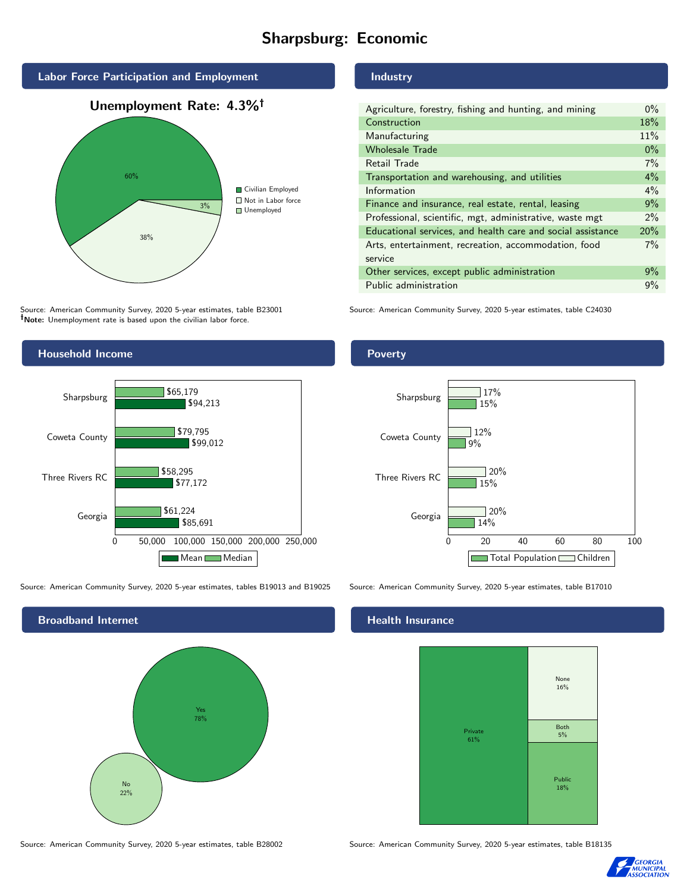# Sharpsburg: Economic



Source: American Community Survey, 2020 5-year estimates, table B23001 Note: Unemployment rate is based upon the civilian labor force.



Source: American Community Survey, 2020 5-year estimates, tables B19013 and B19025 Source: American Community Survey, 2020 5-year estimates, table B17010



#### Source: American Community Survey, 2020 5-year estimates, table B28002 Source: American Community Survey, 2020 5-year estimates, table B18135

## Industry

| Agriculture, forestry, fishing and hunting, and mining      | $0\%$ |
|-------------------------------------------------------------|-------|
| Construction                                                | 18%   |
| Manufacturing                                               | 11%   |
| <b>Wholesale Trade</b>                                      | $0\%$ |
| Retail Trade                                                | 7%    |
| Transportation and warehousing, and utilities               | $4\%$ |
| Information                                                 | $4\%$ |
| Finance and insurance, real estate, rental, leasing         | 9%    |
| Professional, scientific, mgt, administrative, waste mgt    | $2\%$ |
| Educational services, and health care and social assistance | 20%   |
| Arts, entertainment, recreation, accommodation, food        | 7%    |
| service                                                     |       |
| Other services, except public administration                | 9%    |
| Public administration                                       | 9%    |

Source: American Community Survey, 2020 5-year estimates, table C24030

## Poverty



### Health Insurance